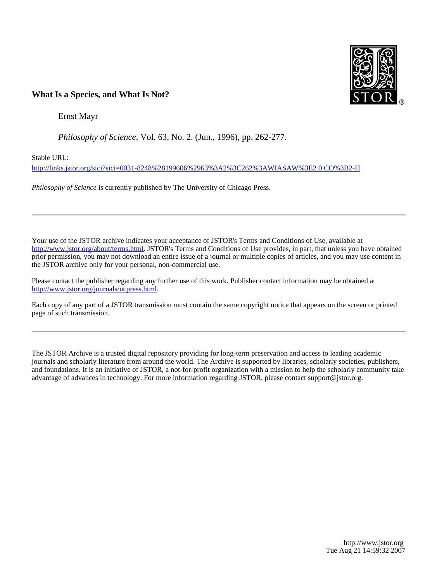

# **What Is a Species, and What Is Not?**

Ernst Mayr

*Philosophy of Science*, Vol. 63, No. 2. (Jun., 1996), pp. 262-277.

Stable URL:

<http://links.jstor.org/sici?sici=0031-8248%28199606%2963%3A2%3C262%3AWIASAW%3E2.0.CO%3B2-H>

*Philosophy of Science* is currently published by The University of Chicago Press.

Your use of the JSTOR archive indicates your acceptance of JSTOR's Terms and Conditions of Use, available at [http://www.jstor.org/about/terms.html.](http://www.jstor.org/about/terms.html) JSTOR's Terms and Conditions of Use provides, in part, that unless you have obtained prior permission, you may not download an entire issue of a journal or multiple copies of articles, and you may use content in the JSTOR archive only for your personal, non-commercial use.

Please contact the publisher regarding any further use of this work. Publisher contact information may be obtained at <http://www.jstor.org/journals/ucpress.html>.

Each copy of any part of a JSTOR transmission must contain the same copyright notice that appears on the screen or printed page of such transmission.

The JSTOR Archive is a trusted digital repository providing for long-term preservation and access to leading academic journals and scholarly literature from around the world. The Archive is supported by libraries, scholarly societies, publishers, and foundations. It is an initiative of JSTOR, a not-for-profit organization with a mission to help the scholarly community take advantage of advances in technology. For more information regarding JSTOR, please contact support@jstor.org.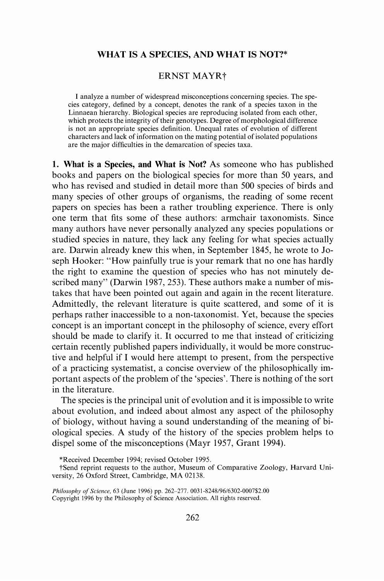#### **WHAT IS A SPECIES, AND WHAT IS NOT?"**

#### ERNST MAYRT

I analyze a number of widespread misconceptions concerning species. The species category, defined by a concept, denotes the rank of a species taxon in the Linnaean hierarchy. Biological species are reproducing isolated from each other, which protects the integrity of their genotypes. Degree of morphological difference is not an appropriate species definition. Unequal rates of evolution of different characters and lack of information on the mating potential of isolated populations are the major difficulties in the demarcation of species taxa.

**1. What is a Species, and What is Not?** As someone who has published books and papers on the biological species for more than 50 years, and who has revised and studied in detail more than 500 species of birds and many species of other groups of organisms, the reading of some recent papers on species has been a rather troubling experience. There is only one term that fits some of these authors: armchair taxonomists. Since many authors have never personally analyzed any species populations or studied species in nature, they lack any feeling for what species actually are. Darwin already knew this when, in September 1845, he wrote to Joseph Hooker: "How painfully true is your remark that no one has hardly the right to examine the question of species who has not minutely described many" (Darwin 1987, 253). These authors make a number of mistakes that have been pointed out again and again in the recent literature. Admittedly, the relevant literature is quite scattered, and some of it is perhaps rather inaccessible to a non-taxonomist. Yet, because the species concept is an important concept in the philosophy of science, every effort should be made to clarify it. It occurred to me that instead of criticizing certain recently published papers individually, it would be more constructive and helpful if I would here attempt to present, from the perspective of a practicing systematist, a concise overview of the philosophically important aspects of the problem of the 'species'. There is nothing of the sort in the literature.

The species is the principal unit of evolution and it is impossible to write about evolution, and indeed about almost any aspect of the philosophy of biology, without having a sound understanding of the meaning of biological species. A study of the history of the species problem helps to dispel some of the misconceptions (Mayr 1957, Grant 1994).

<sup>\*</sup>Received December 1994; revised October 1995.

<sup>?</sup>Send reprint requests to the author, Museum of Comparative Zoology, Harvard University, 26 Oxford Street, Cambridge, MA 02138.

*Philosophy of'Science,* 63 (June 1996) pp. 262-277. 0031-824819616302-0007S2.00 Copyright 1996 by the Philosophy of Science Association. All rights reserved.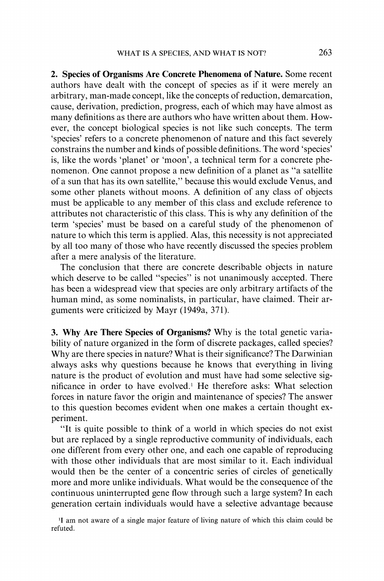**2. Species of Organisms Are Concrete Phenomena of Nature.** Some recent authors have dealt with the concept of species as if it were merely an arbitrary, man-made concept, like the concepts of reduction, demarcation, cause, derivation, prediction, progress, each of which may have almost as many definitions as there are authors who have written about them. However, the concept biological species is not like such concepts. The term 'species' refers to a concrete phenomenon of nature and this fact severely constrains the number and kinds of possible definitions. The word 'species' is, like the words 'planet' or 'moon', a technical term for a concrete phenomenon. One cannot propose a new definition of a planet as "a satellite of a sun that has its own satellite," because this would exclude Venus, and some other planets without moons. A definition of any class of objects must be applicable to any member of this class and exclude reference to attributes not characteristic of this class. This is why any definition of the term 'species' must be based on a careful study of the phenomenon of nature to which this term is applied. Alas, this necessity is not appreciated by all too many of those who have recently discussed the species problem after a mere analysis of the literature.

The conclusion that there are concrete describable objects in nature which deserve to be called "species" is not unanimously accepted. There has been a widespread view that species are only arbitrary artifacts of the human mind, as some nominalists, in particular, have claimed. Their arguments were criticized by Mayr (1949a, 371).

**3. Why Are There Species of Organisms?** Why is the total genetic variability of nature organized in the form of discrete packages, called species? Why are there species in nature? What is their significance? The Darwinian always asks why questions because he knows that everything in living nature is the product of evolution and must have had some selective significance in order to have evolved.' He therefore asks: What selection forces in nature favor the origin and maintenance of species? The answer to this question becomes evident when one makes a certain thought experiment.

"It is quite possible to think of a world in which species do not exist but are replaced by a single reproductive community of individuals, each one different from every other one, and each one capable of reproducing with those other individuals that are most similar to it. Each individual would then be the center of a concentric series of circles of genetically more and more unlike individuals. What would be the consequence of the continuous uninterrupted gene flow through such a large system? In each generation certain individuals would have a selective advantage because

<sup>&#</sup>x27;1 am not aware of a single major feature of living nature of which this claim could be refuted.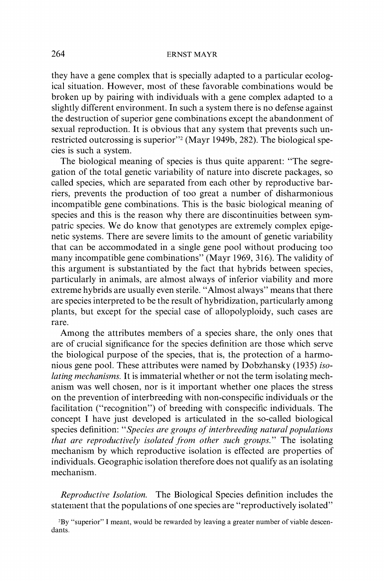they have a gene complex that is specially adapted to a particular ecological situation. However, most of these favorable combinations would be broken up by pairing with individuals with a gene complex adapted to a slightly different environment. In such a system there is no defense against the destruction of superior gene combinations except the abandonment of sexual reproduction. It is obvious that any system that prevents such unrestricted outcrossing is superior"<sup>2</sup> (Mayr 1949b, 282). The biological species is such a system.

The biological meaning of species is thus quite apparent: "The segregation of the total genetic variability of nature into discrete packages, so called species, which are separated from each other by reproductive barriers, prevents the production of too great a number of disharmonious incompatible gene combinations. This is the basic biological meaning of species and this is the reason why there are discontinuities between sympatric species. We do know that genotypes are extremely complex epigenetic systems. There are severe limits to the amount of genetic variability that can be accommodated in a single gene pool without producing too many incompatible gene combinations" (Mayr 1969, 316). The validity of this argument is substantiated by the fact that hybrids between species, particularly in animals, are almost always of inferior viability and more extreme hybrids are usually even sterile. "Almost always" means that there are species interpreted to be the result of hybridization, particularly among plants, but except for the special case of allopolyploidy, such cases are rare.

Among the attributes members of a species share, the only ones that are of crucial significance for the species definition are those which serve the biological purpose of the species, that is, the protection of a harmonious gene pool. These attributes were named by Dobzhansky (1935) *isolating mechanisms.* It is immaterial whether or not the term isolating mechanism was well chosen, nor is it important whether one places the stress on the prevention of interbreeding with non-conspecific individuals or the facilitation ("recognition") of breeding with conspecific individuals. The concept I have just developed is articulated in the so-called biological species definition: *"Species are groups of interbreeding natural populations that are reproductively isolated from other such groups."* The isolating mechanism by which reproductive isolation is effected are properties of individuals. Geographic isolation therefore does not qualify as an isolating mechanism.

*Reproductive Isolation.* The Biological Species definition includes the statement that the populations of one species are "reproductively isolated"

2By "superior" I meant, would be rewarded by leaving a greater number of viable descendants.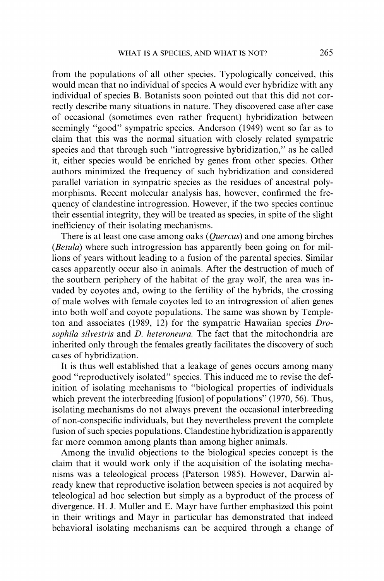from the populations of all other species. Typologically conceived, this would mean that no individual of species A would ever hybridize with any individual of species B. Botanists soon pointed out that this did not correctly describe many situations in nature. They discovered case after case of occasional (sometimes even rather frequent) hybridization between seemingly "good" sympatric species. Anderson (1949) went so far as to claim that this was the normal situation with closely related sympatric species and that through such "introgressive hybridization," as he called it, either species would be enriched by genes from other species. Other authors minimized the frequency of such hybridization and considered parallel variation in sympatric species as the residues of ancestral polymorphisms. Recent molecular analysis has, however, confirmed the frequency of clandestine introgression. However, if the two species continue their essential integrity, they will be treated as species, in spite of the slight inefficiency of their isolating mechanisms.

There is at least one case among oaks (*Quercus*) and one among birches (Betula) where such introgression has apparently been going on for millions of years without leading to a fusion of the parental species. Similar cases apparently occur also in animals. After the destruction of much of the southern periphery of the habitat of the gray wolf, the area was invaded by coyotes and, owing to the fertility of the hybrids, the crossing of male wolves with female coyotes led to en introgression of alien genes into both wolf and coyote populations. The same was shown by Templeton and associates (1989, 12) for the sympatric Hawaiian species  $Dro$ sophila silvestris and D. heteroneura. The fact that the mitochondria are inherited only through the females greatly facilitates the discovery of such cases of hybridization.

It is thus well established that a leakage of genes occurs among many good "reproductively isolated" species. This induced me to revise the definition of isolating mechanisms to "biological properties of individuals which prevent the interbreeding [fusion] of populations" (1970, 56). Thus, isolating mechanisms do not always prevent the occasional interbreeding of non-conspecific individuals, but they nevertheless prevent the complete fusion of such species populations. Clandestine hybridization is apparently far more common among plants than among higher animals.

Among the invalid objections to the biological species concept is the claim that it would work only if the acquisition of the isolating mechanisms was a teleological process (Paterson 1985). However, Darwin already knew that reproductive isolation between species is not acquired by teleological ad hoc selection but simply as a byproduct of the process of divergence. H. J. Muller and E. Mayr have further emphasized this point in their writings and Mayr in particular has demonstrated that indeed behavioral isolating mechanisms can be acquired through a change of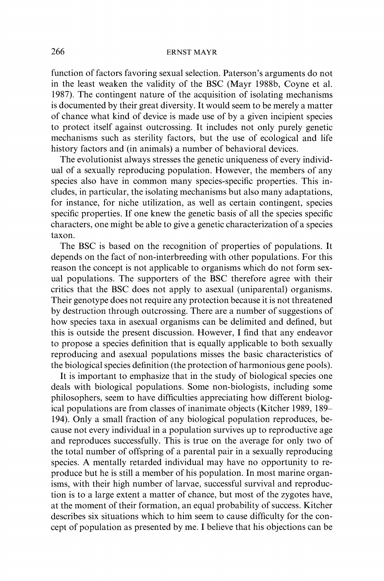function of factors favoring sexual selection. Paterson's arguments do not in the least weaken the validity of the BSC (Mayr 1988b, Coyne et al. 1987). The contingent nature of the acquisition of isolating mechanisms is documented by their great diversity. It would seem to be merely a matter of chance what kind of device is made use of by a given incipient species to protect itself against outcrossing. It includes not only purely genetic mechanisms such as sterility factors, but the use of ecological and life history factors and (in animals) a number of behavioral devices.

The evolutionist always stresses the genetic uniqueness of every individual of a sexually reproducing population. However, the members of any species also have in common many species-specific properties. This includes, in particular, the isolating mechanisms but also many adaptations, for instance, for niche utilization, as well as certain contingent, species specific properties. If one knew the genetic basis of all the species specific characters, one might be able to give a genetic characterization of a species taxon.

The BSC is based on the recognition of properties of populations. It depends on the fact of non-interbreeding with other populations. For this reason the concept is not applicable to organisms which do not form sexual populations. The supporters of the BSC therefore agree with their critics that the BSC does not apply to asexual (uniparental) organisms. Their genotype does not require any protection because it is not threatened by destruction through outcrossing. There are a number of suggestions of how species taxa in asexual organisms can be delimited and defined, but this is outside the present discussion. However, I find that any endeavor to propose a species definition that is equally applicable to both sexually reproducing and asexual populations misses the basic characteristics of the biological species definition (the protection of harmonious gene pools).

It is important to emphasize that in the study of biological species one deals with biological populations. Some non-biologists, including some philosophers, seem to have difficulties appreciating how different biological populations are from classes of inanimate objects (Kitcher 1989, 189- 194). Only a small fraction of any biological population reproduces, because not every individual in a population survives up to reproductive age and reproduces successfully. This is true on the average for only two of the total number of offspring of a parental pair in a sexually reproducing species. A mentally retarded individual may have no opportunity to reproduce but he is still a member of his population. In most marine organisms, with their high number of larvae, successful survival and reproduction is to a large extent a matter of chance, but most of the zygotes have, at the moment of their formation, an equal probability of success. Kitcher describes six situations which to him seem to cause difficulty for the concept of population as presented by me. I believe that his objections can be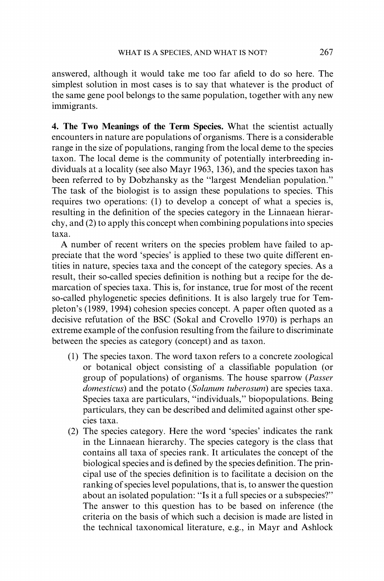answered, although it would take me too far afield to do so here. The simplest solution in most cases is to say that whatever is the product of the same gene pool belongs to the same population, together with any new immigrants.

**4. The Two Meanings of the Term Species.** What the scientist actually encounters in nature are populations of organisms. There is a considerable range in the size of populations, ranging from the local deme to the species taxon. The local deme is the community of potentially interbreeding individuals at a locality (see also Mayr 1963, 136), and the species taxon has been referred to by Dobzhansky as the "largest Mendelian population." The task of the biologist is to assign these populations to species. This requires two operations: (1) to develop a concept of what a species is, resulting in the definition of the species category in the Linnaean hierarchy, and (2) to apply this concept when combining populations into species taxa.

A number of recent writers on the species problem have failed to appreciate that the word 'species' is applied to these two quite different entities in nature, species taxa and the concept of the category species. As a result, their so-called species definition is nothing but a recipe for the demarcation of species taxa. This is, for instance, true for most of the recent so-called phylogenetic species definitions. It is also largely true for Templeton's (1989, 1994) cohesion species concept. A paper often quoted as a decisive refutation of the BSC (Sokal and Crovello 1970) is perhaps an extreme example of the confusion resulting from the failure to discriminate between the species as category (concept) and as taxon.

- (1) The species taxon. The word taxon refers to a concrete zoological or botanical object consisting of a classifiable population (or group of populations) of organisms. The house sparrow (Passer domesticus) and the potato (Solanum tuberosum) are species taxa. Species taxa are particulars, "individuals," biopopulations. Being particulars, they can be described and delimited against other species taxa.
- (2) The species category. Here the word 'species' indicates the rank in the Linnaean hierarchy. The species category is the class that contains all taxa of species rank. It articulates the concept of the biological species and is defined by the species definition. The principal use of the species definition is to facilitate a decision on the ranking of species level populations, that is, to answer the question about an isolated population: "Is it a full species or a subspecies?" The answer to this question has to be based on inference (the criteria on the basis of which such a decision is made are listed in the technical taxonomical literature, e.g., in Mayr and Ashlock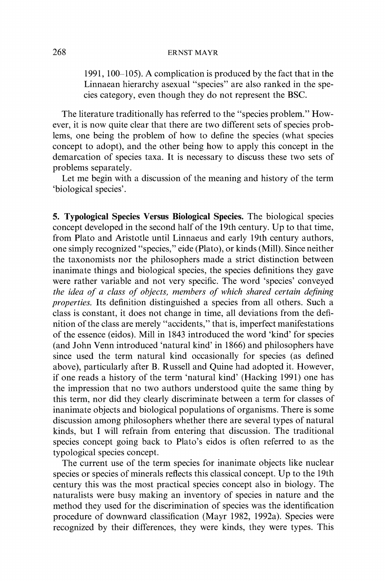1991,  $100-105$ ). A complication is produced by the fact that in the Linnaean hierarchy asexual "species" are also ranked in the species category, even though they do not represent the BSC.

The literature traditionally has referred to the "species problem." However, it is now quite clear that there are two different sets of species problems, one being the problem of how to define the species (what species concept to adopt), and the other being how to apply this concept in the demarcation of species taxa. It is necessary to discuss these two sets of problems separately.

Let me begin with a discussion of the meaning and history of the term 'biological species'.

**5. Typological Species Versus Biological Species.** The biological species concept developed in the second half of the 19th century. Up to that time, from Plato and Aristotle until Linnaeus and early 19th century authors, one simply recognized "species," eide (Plato), or kinds (Mill). Since neither the taxonomists nor the philosophers made a strict distinction between inanimate things and biological species, the species definitions they gave were rather variable and not very specific. The word 'species' conveyed *the idea of a class of objects, members of which shared certain defining properties.* Its definition distinguished a species from all others. Such a class is constant, it does not change in time, all deviations from the definition of the class are merely "accidents," that is, imperfect manifestations of the essence (eidos). Mill in 1843 introduced the word 'kind' for species  $($ and John Venn introduced 'natural kind' in 1866) and philosophers have since used the term natural kind occasionally for species (as defined above), particularly after B. Russell and Quine had adopted it. However, if one reads a history of the term 'natural kind' (Hacking 1991) one has the impression that no two authors understood quite the same thing by this term, nor did they clearly discriminate between a term for classes of inanimate objects and biological populations of organisms. There is some discussion among philosophers whether there are several types of natural kinds, but I will refrain from entering that discussion. The traditional species concept going back to Plato's eidos is often referred to as the typological species concept.

The current use of the term species for inanimate objects like nuclear species or species of minerals reflects this classical concept. Up to the 19th century this was the most practical species concept also in biology. The naturalists were busy making an inventory of species in nature and the method they used for the discrimination of species was the identification procedure of downward classilication (Mayr 1982. 1992a). Species were recognized by their differences, they were kinds, they were types. This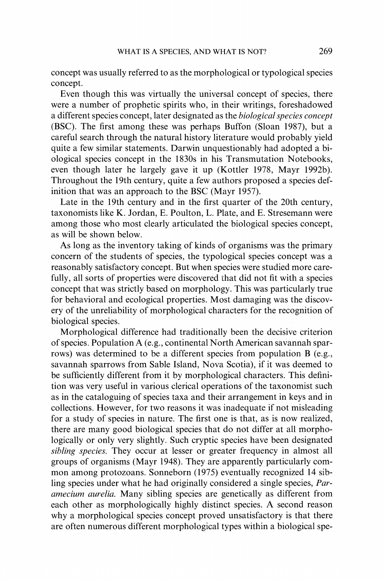concept was usually referred to as the morphological or typological species concept.

Even though this was virtually the universal concept of species, there were a number of prophetic spirits who, in their writings, foreshadowed a different species concept, later designated as the *biological species concept*  (BSC). The first among these was perhaps Buffon (Sloan 1987), but a careful search through the natural history literature would probably yield quite a few similar statements. Darwin unquestionably had adopted a biological species concept in the 1830s in his Transmutation Notebooks, even though later he largely gave it up (Kottler 1978, Mayr 1992b). Throughout the 19th century, quite a few authors proposed a species definition that was an approach to the BSC (Mayr 1957).

Late in the 19th century and in the first quarter of the 20th century, taxonomists like K. Jordan, E. Poulton, L. Plate, and E. Stresemann were among those who most clearly articulated the biological species concept, as will be shown below.

As long as the inventory taking of kinds of organisms was the primary concern of the students of species, the typological species concept was a reasonably satisfactory concept. But when species were studied more carefully, all sorts of properties were discovered that did not fit with a species concept that was strictly based on morphology. This was particularly true for behavioral and ecological properties. Most damaging was the discovery of the unreliability of morphological characters for the recognition of biological species.

Morphological difference had traditionally been the decisive criterion of species. Population A (e.g., continental North American savannah sparrows) was determined to be a different species from population B (e.g., savannah sparrows from Sable Island, Nova Scotia), if it was deemed to be sufficiently different from it by morphological characters. This definition was very useful in various clerical operations of the taxonomist such as in the cataloguing of species taxa and their arrangement in keys and in collections. However, for two reasons it was inadequate if not misleading for a study of species in nature. The first one is that, as is now realized, there are many good biological species that do not differ at all morphologically or only very slightly. Such cryptic species have been designated *sibling species.* They occur at lesser or greater frequency in almost all groups of organisms (Mayr 1948). They are apparently particularly common among protozoans. Sonneborn (1975) eventually recognized 14 sibling species under what he had originally considered a single species, *Paramecium aurelia.* Many sibling species are genetically as different from each other as morphologically highly distinct species. A second reason why a morphological species concept proved unsatisfactory is that there are often numerous different morphological types within a biological spe-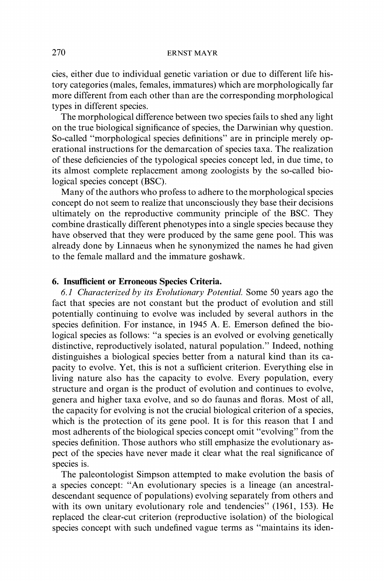cies, either due to individual genetic variation or due to different life history categories (males, females, immatures) which are morphologically far more different from each other than are the corresponding morphological types in different species.

The morphological difference between two species fails to shed any light on the true biological significance of species, the Darwinian why question. So-called "morphological species definitions" are in principle merely operational instructions for the demarcation of species taxa. The realization of these deficiencies of the typological species concept led, in due time, to its almost complete replacement among zoologists by the so-called biological species concept (BSC).

Many of the authors who profess to adhere to the morphological species concept do not seem to realize that unconsciously they base their decisions ultimately on the reproductive community principle of the BSC. They combine drastically different phenotypes into a single species because they have observed that they were produced by the same gene pool. This was already done by Linnaeus when he synonymized the names he had given to the female mallard and the immature goshawk.

### **6. Insufficient or Erroneous Species Criteria.**

*6.1 Characterized by its Evolutionary Potential.* Some 50 years ago the fact that species are not constant but the product of evolution and still potentially continuing to evolve was included by several authors in the species definition. For instance, in 1945 A. E. Emerson defined the biological species as follows: "a species is an evolved or evolving genetically distinctive, reproductively isolated, natural population." Indeed, nothing distinguishes a biological species better from a natural kind than its capacity to evolve. Yet, this is not a sufficient criterion. Everything else in living nature also has the capacity to evolve. Every population, every structure and organ is the product of evolution and continues to evolve, genera and higher taxa evolve, and so do faunas and floras. Most of all, the capacity for evolving is not the crucial biological criterion of a species, which is the protection of its gene pool. It is for this reason that I and most adherents of the biological species concept omit "evolving" from the species definition. Those authors who still emphasize the evolutionary aspect of the species have never made it clear what the real significance of species is.

The paleontologist Simpson attempted to make evolution the basis of a species concept: "An evolutionary species is a lineage (an ancestraldescendant sequence of populations) evolving separately from others and with its own unitary evolutionary role and tendencies" (1961, 153). He replaced the clear-cut criterion (reproductive isolation) of the biological species concept with such undefined vague terms as "maintains its iden-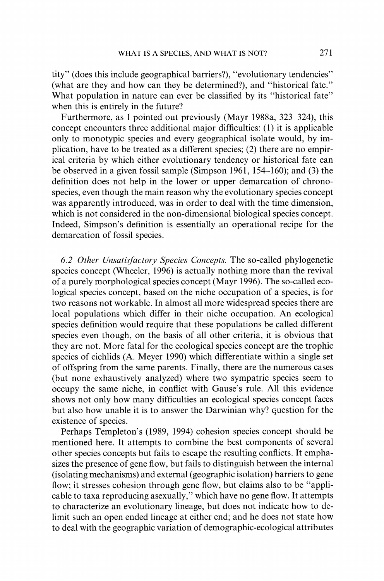tity" (does this include geographical barriers?), "evolutionary tendencies" (what are they and how can they be determined?), and "historical fate." What population in nature can ever be classified by its "historical fate" when this is entirely in the future?

Furthermore, as I pointed out previously (Mayr 1988a, 323-324), this concept encounters three additional major difficulties: (1) it is applicable only to monotypic species and every geographical isolate would, by implication, have to be treated as a different species; (2) there are no empirical criteria by which either evolutionary tendency or historical fate can be observed in a given fossil sample (Simpson  $1961$ ,  $154-160$ ); and (3) the definition does not help in the lower or upper demarcation of chronospecies, even though the main reason why the evolutionary species concept was apparently introduced, was in order to deal with the time dimension, which is not considered in the non-dimensional biological species concept. Indeed, Simpson's definition is essentially an operational recipe for the demarcation of fossil species.

*6.2 Other Unsatisfactory Species Concepts.* The so-called phylogenetic species concept (Wheeler, 1996) is actually nothing more than the revival of a purely morphological species concept (Mayr 1996). The so-called ecological species concept, based on the niche occupation of a species, is for two reasons not workable. In almost all more widespread species there are local populations which differ in their niche occupation. An ecological species definition would require that these populations be called different species even though, on the basis of all other criteria, it is obvious that they are not. More fatal for the ecological species concept are the trophic species of cichlids (A. Meyer 1990) which differentiate within a single set of offspring from the same parents. Finally, there are the numerous cases (but none exhaustively analyzed) where two sympatric species seem to occupy the same niche, in conflict with Cause's rule. All this evidence shows not only how many difficulties an ecological species concept faces but also how unable it is to answer the Darwinian why? question for the existence of species.

Perhaps Templeton's (1989, 1994) cohesion species concept should be mentioned here. It attempts to combine the best components of several other species concepts but fails to escape the resulting conflicts. It emphasizes the presence of gene flow, but fails to distinguish between the internal (isolating mechanisms) and external (geographic isolation) barriers to gene flow; it stresses cohesion through gene flow, but claims also to be "applicable to taxa reproducing asexually," which have no gene flow. It attempts to characterize an evolutionary lineage, but does not indicate how to delimit such an open ended lineage at either end; and he does not state how to deal with the geographic variation of demographic-ecological attributes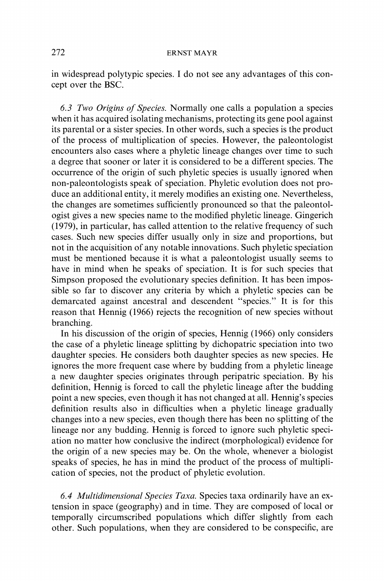in widespread polytypic species. I do not see any advantages of this concept over the BSC.

*6.3 Two Origins of Species.* Normally one calls a population a species when it has acquired isolating mechanisms, protecting its gene pool against its parental or a sister species. In other words, such a species is the product of the process of multiplication of species. However, the paleontologist encounters also cases where a phyletic lineage changes over time to such a degree that sooner or later it is considered to be a different species. The occurrence of the origin of such phyletic species is usually ignored when non-paleontologists speak of speciation. Phyletic evolution does not produce an additional entity, it merely modifies an existing one. Nevertheless, the changes are sometimes sufficiently pronounced so that the paleontologist gives a new species name to the modified phyletic lineage. Gingerich (1979), in particular, has called attention to the relative frequency of such cases. Such new species differ usually only in size and proportions, but not in the acquisition of any notable innovations. Such phyletic speciation must be mentioned because it is what a paleontologist usually seems to have in mind when he speaks of speciation. It is for such species that Simpson proposed the evolutionary species definition. It has been impossible so far to discover any criteria by which a phyletic species can be demarcated against ancestral and descendent "species." It is for this reason that Hennig (1966) rejects the recognition of new species without branching.

In his discussion of the origin of species, Hennig (1966) only considers the case of a phyletic lineage splitting by dichopatric speciation into two daughter species. He considers both daughter species as new species. He ignores the more frequent case where by budding from a phyletic lineage a new daughter species originates through peripatric speciation. By his definition, Hennig is forced to call the phyletic lineage after the budding point a new species, even though it has not changed at all. Hennig's species definition results also in difficulties when a phyletic lineage gradually changes into a new species, even though there has been no splitting of the lineage nor any budding. Hennig is forced to ignore such phyletic speciation no matter how conclusive the indirect (morphological) evidence for the origin of a new species may be. On the whole, whenever a biologist speaks of species, he has in mind the product of the process of multiplication of species, not the product of phyletic evolution.

*6.4 Multidimensional Species Taxa.* Species taxa ordinarily have an extension in space (geography) and in time. They are composed of local or temporally circumscribed populations which differ slightly from each other. Such populations, when they are considered to be conspecific, are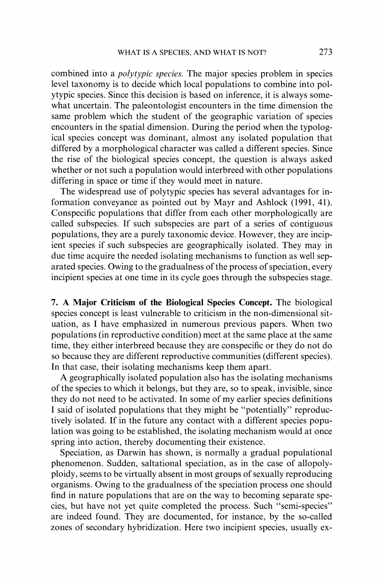combined into a *polytypic* species. The major species problem in species level taxonomy is to decide which local populations to combine into polytypic species. Since this decision is based on inference, it is always somewhat uncertain. The paleontologist encounters in the time dimension the same problem which the student of the geographic variation of species encounters in the spatial dimension. During the period when the typological species concept was dominant, almost any isolated population that differed by a morphological character was called a different species. Since the rise of the biological species concept, the question is always asked whether or not such a population would interbreed with other populations differing in space or time if they would meet in nature.

The widespread use of polytypic species has several advantages for information conveyance as pointed out by Mayr and Ashlock (1991, 41). Conspecific populations that differ from each other morphologically are called subspecies. If such subspecies are part of a series of contiguous populations, they are a purely taxonomic device. However, they are incipient species if such subspecies are geographically isolated. They may in due time acquire the needed isolating mechanisms to function as well separated species. Owing to the gradualness of the process of speciation, every incipient species at one time in its cycle goes through the subspecies stage.

**7. A Major Criticism of the Biological Species Concept.** The biological species concept is least vulnerable to criticism in the non-dimensional situation, as I have emphasized in numerous previous papers. When two populations (in reproductive condition) meet at the same place at the same time, they either interbreed because they are conspecific or they do not do so because they are different reproductive communities (different species). In that case, their isolating mechanisms keep them apart.

A geographically isolated population also has the isolating mechanisms of the species to which it belongs, but they are, so to speak, invisible, since they do not need to be activated. In some of my earlier species definitions I said of isolated populations that they might be "potentially" reproductively isolated. If in the future any contact with a different species population was going to be established, the isolating mechanism would at once spring into action, thereby documenting their existence.

Speciation, as Darwin has shown, is normally a gradual populational phenomenon. Sudden, saltational speciation, as in the case of allopolyploidy, seems to be virtually absent in most groups of sexually reproducing organisms. Owing to the gradualness of the speciation process one should find in nature populations that are on the way to becoming separate species, but have not yet quite completed the process. Such "semi-species" are indeed found. They are documented, for instance, by the so-called zones of secondary hybridization. Here two incipient species, usually ex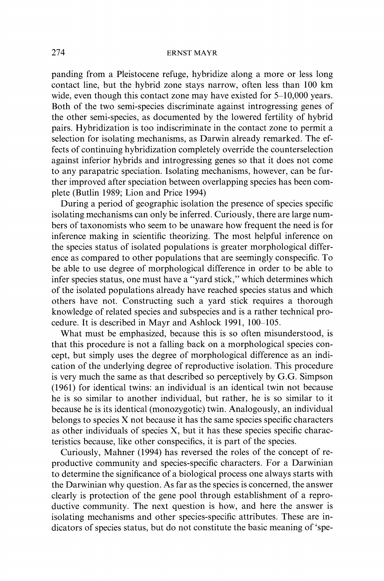panding from a Pleistocene refuge, hybridize along a more or less long contact line, but the hybrid zone stays narrow, often less than 100 km wide, even though this contact zone may have existed for 5-10,000 years. Both of the two semi-species discriminate against introgressing genes of the other semi-species, as documented by the lowered fertility of hybrid pairs. Hybridization is too indiscriminate in the contact zone to permit a selection for isolating mechanisms, as Darwin already remarked. The effects of continuing hybridization completely override the counterselection against inferior hybrids and introgressing genes so that it does not come to any parapatric speciation. Isolating mechanisms, however, can be further improved after speciation between overlapping species has been complete (Butlin 1989; Lion and Price 1994)

During a period of geographic isolation the presence of species specific isolating mechanisms can only be inferred. Curiously, there are large numbers of taxonomists who seem to be unaware how frequent the need is for inference making in scientific theorizing. The most helpful inference on the species status of isolated populations is greater morphological difference as compared to other populations that are seemingly conspecific. To be able to use degree of morphological difference in order to be able to infer species status, one must have a "yard stick," which determines which of the isolated populations already have reached species status and which others have not. Constructing such a yard stick requires a thorough knowledge of related species and subspecies and is a rather technical procedure. It is described in Mayr and Ashlock 1991, 100-105.

What must be emphasized, because this is so often misunderstood, is that this procedure is not a falling back on a morphological species concept, but simply uses the degree of morphological difference as an indication of the underlying degree of reproductive isolation. This procedure is very much the same as that described so perceptively by G.G. Simpson (1961) for identical twins: an individual is an identical twin not because he is so similar to another individual, but rather, he is so similar to it because he is its identical (monozygotic) twin. Analogously, an individual belongs to species  $X$  not because it has the same species specific characters as other individuals of species X, but it has these species specific characteristics because, like other conspecifics, it is part of the species.

Curiously, Mahner (1994) has reversed the roles of the concept of reproductive community and species-specific characters. For a Darwinian to determine the significance of a biological process one always starts with the Darwinian why question. As far as the species is concerned, the answer clearly is protection of the gene pool through establishment of a reproductive community. The next question is how, and here the answer is isolating mechanisms and other species-specific attributes. These are indicators of species status, but do not constitute the basic meaning of 'spe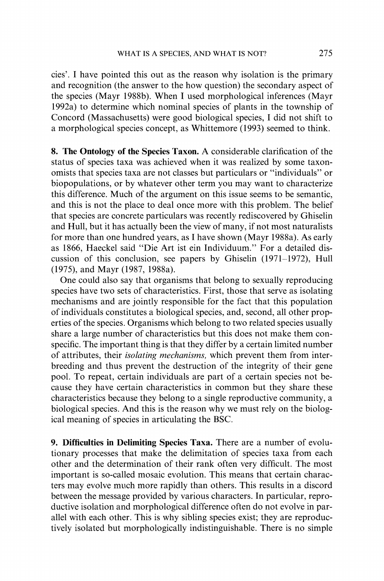cies'. I have pointed this out as the reason why isolation is the primary and recognition (the answer to the how question) the secondary aspect of the species (Mayr 1988b). When I used morphological inferences (Mayr 1992a) to determine which nominal species of plants in the township of Concord (Massachusetts) were good biological species, I did not shift to a morphological species concept, as Whittemore (1993) seemed to think.

**8. The Ontology of the Species Taxon.** A considerable clarification of the status of species taxa was achieved when it was realized by some taxonomists that species taxa are not classes but particulars or "individuals" or biopopulations, or by whatever other term you may want to characterize this difference. Much of the argument on this issue seems to be semantic, and this is not the place to deal once more with this problem. The belief that species are concrete particulars was recently rediscovered by Ghiselin and Hull, but it has actually been the view of many, if not most naturalists for more than one hundred years, as I have shown (Mayr 1988a). As early as 1866, Haeckel said "Die Art ist ein Individuum." For a detailed discussion of this conclusion, see papers by Ghiselin (1971-1972), Hull (1975), and Mayr (1987, 1988a).

One could also say that organisms that belong to sexually reproducing species have two sets of characteristics. First, those that serve as isolating mechanisms and are jointly responsible for the fact that this population of individuals constitutes a biological species, and, second, all other properties of the species. Organisms which belong to two related species usually share a large number of characteristics but this does not make them conspecific. The important thing is that they differ by a certain limited number of attributes, their *isolating mechanisms,* which prevent them from interbreeding and thus prevent the destruction of the integrity of their gene pool. To repeat, certain individuals are part of a certain species not because they have certain characteristics in common but they share these characteristics because they belong to a single reproductive community, a biological species. And this is the reason why we must rely on the biological meaning of species in articulating the BSC.

**9. Difficulties in Delimiting Species Taxa.** There are a number of evolutionary processes that make the delimitation of species taxa from each other and the determination of their rank often very difficult. The most important is so-called mosaic evolution. This means that certain characters may evolve much more rapidly than others. This results in a discord between the message provided by various characters. In particular, reproductive isolation and morphological difference often do not evolve in parallel with each other. This is why sibling species exist; they are reproductively isolated but morphologically indistinguishable. There is no simple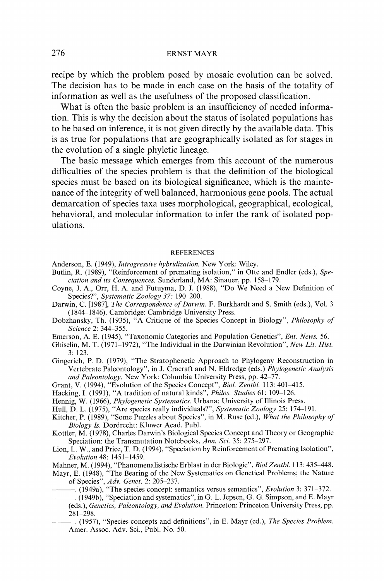recipe by which the problem posed by mosaic evolution can be solved. The decision has to be made in each case on the basis of the totality of information as well as the usefulness of the proposed classification.

What is often the basic problem is an insufficiency of needed information. This is why the decision about the status of isolated populations has to be based on inference, it is not given directly by the available data. This is as true for populations that are geographically isolated as for stages in the evolution of a single phyletic lineage.

The basic message which emerges from this account of the numerous difficulties of the species problem is that the definition of the biological species must be based on its biological significance, which is the maintenance of the integrity of well balanced, harmonious gene pools. The actual demarcation of species taxa uses morphological, geographical, ecological, behavioral, and molecular information to infer the rank of isolated populations.

#### **REFERENCES**

- Anderson, E. (1949), *Introgressive hybridization*. New York: Wiley.
- Butlin, R. (1989), "Reinforcement of premating isolation," in Otte and Endler (eds.), *Speciation and its Consequences.* Sunderland, MA: Sinauer, pp. 158-179.
- Coyne, J. A,, Orr, H. A. and Futuyma, D. J. (1988), "Do We Need a New Definition of Species?', *Systematic Zoology* 37: 190-200.
- Darwin, C. [1987], *The Correspondence of Darwin. F.* Burkhardt and S. Smith (eds.), Vol. 3 (1844–1846). Cambridge: Cambridge University Press.
- Dobzhansky, Th. (1935), "A Critique of the Species Concept in Biology", *Philosophy of Science* 2: 344355.
- Emerson, A. E. (1945), "Taxonomic Categories and Population Genetics", *Ent. News.* 56.
- Ghiselin, M. T. (1971–1972), "The Individual in the Darwinian Revolution", *New Lit. Hist.* 3: 123.
- Gingerich, P. D. (1979), "The Stratophenetic Approach to Phylogeny Reconstruction in Vertebrate Paleontology", in J. Cracraft and N. Eldredge (eds.) *Phylogenetic Analysis and Paleontology.* New York: Columbia University Press, pp. 42-77.
- Grant, V. (1994), "Evolution of the Species Concept", *Biol. Zentbl.* 113: 401-415.
- Hacking, I. (1991), "A tradition of natural kinds", *Philos. Studies* 61: 109-126.
- Hennig, W. (1966), *Phylogenetic Systematics.* Urbana: University of Illinois Press.
- Hull, D. L. (1975), "Are species really individuals?" *Systematic Zoology* 25: 174-191.
- Kitcher, P. (1989), "Some Puzzles about Species", in M. Ruse (ed.), *What the Philosophy of Biology Is.* Dordrecht: Kluwer Acad. Publ.
- Kottler, M. (1978), Charles Darwin's Biological Species Concept and Theory or Geographic Speciation: the Transmutation Notebooks. *Ann. Sci.* 35: 275-297.
- Lion, L. W., and Price, T. D. (1994), "Speciation by Reinforcement of Premating Isolation", *Evolution* 48: 1451-1459.
- Mahner, M. (1994), "Phanomenalistische Erblast in der Biologie", *Biol Zentbl.* 1 13: 435-448.
- Mayr, E. (1948), "The Bearing of the New Systematics on Genetical Problems; the Nature of Species", *Adv. Genet.* 2: 205-237.
	- , (1949a), "The species concept: semantics versus semantics", *Evolution* 3: 371-372.
	- .(1949b), "Speciation and systematics", in G. L. Jepsen, G. G. Simpson, and E. Mayr (eds.), *Genetics, Paleontology, and Evolution.* Princeton: Princeton University Press, pp. 281-298.
	- . (1957), "Species concepts and definitions", in E. Mayr (ed.), *The Species Problem.*  Amer. Assoc. Adv. Sci., Publ. No. 50.